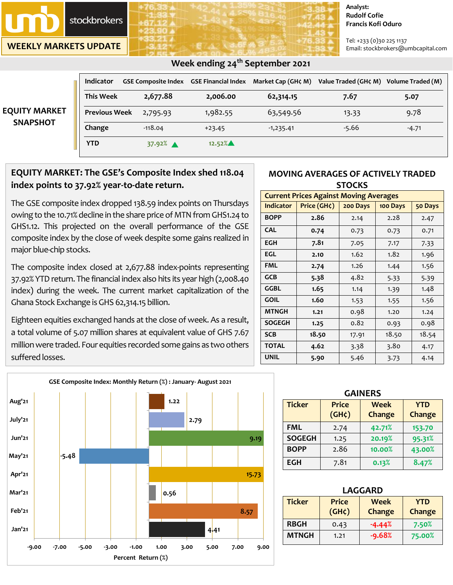

**WEEKLY MARKETS UPDATE**

#### **Analyst: Rudolf Cofie Francis Kofi Oduro**

Tel: +233 (0)30 225 1137 Email: stockbrokers@umbcapital.com

| <b>EQUITY MARKET</b><br><b>SNAPSHOT</b> | <b>Indicator</b>     | <b>GSE Composite Index GSE Financial Index</b> |           |             | Market Cap (GH¢ M) Value Traded (GH¢ M) Volume Traded (M) |         |
|-----------------------------------------|----------------------|------------------------------------------------|-----------|-------------|-----------------------------------------------------------|---------|
|                                         | <b>This Week</b>     | 2,677.88                                       | 2,006.00  | 62,314.15   | 7.67                                                      | 5.07    |
|                                         | <b>Previous Week</b> | 2,795.93                                       | 1,982.55  | 63,549.56   | 13.33                                                     | 9.78    |
|                                         | Change               | $-118.04$                                      | $+23.45$  | $-1,235.41$ | $-5.66$                                                   | $-4.71$ |
|                                         | <b>YTD</b>           | 37.92% $\triangle$                             | $12.52\%$ |             |                                                           |         |

# **EQUITY MARKET: The GSE's Composite Index shed 118.04 index points to 37.92% year-to-date return.**

The GSE composite index dropped 138.59 index points on Thursdays owing to the 10.71% decline in the share price of MTN from GHS1.24 to GHS1.12. This projected on the overall performance of the GSE composite index by the close of week despite some gains realized in major blue-chip stocks.

The composite index closed at 2,677.88 index-points representing 37.92% YTD return. The financial index also hits its year high (2,008.40 index) during the week. The current market capitalization of the Ghana Stock Exchange is GHS 62,314.15 billion.

Eighteen equities exchanged hands at the close of week. As a result, a total volume of 5.07 million shares at equivalent value of GHS 7.67 million were traded. Four equities recorded some gains as two others suffered losses.



| <b>Current Prices Against Moving Averages</b> |                                                |       |       |       |  |
|-----------------------------------------------|------------------------------------------------|-------|-------|-------|--|
| <b>Indicator</b>                              | Price (GH¢)<br>200 Days<br>100 Days<br>50 Days |       |       |       |  |
| <b>BOPP</b>                                   | 2.86                                           | 2.14  | 2.28  | 2.47  |  |
| <b>CAL</b>                                    | 0.74                                           | 0.73  | 0.73  | 0.71  |  |
| <b>EGH</b>                                    | 7.81                                           | 7.05  | 7.17  | 7.33  |  |
| <b>EGL</b>                                    | 2.10                                           | 1.62  | 1.82  | 1.96  |  |
| <b>FML</b>                                    | 2.74                                           | 1.26  | 1.44  | 1.56  |  |
| <b>GCB</b>                                    | 5.38                                           | 4.82  | 5.33  | 5.39  |  |
| <b>GGBL</b>                                   | 1.65                                           | 1.14  | 1.39  | 1.48  |  |
| <b>GOIL</b>                                   | 1.60                                           | 1.53  | 1.55  | 1.56  |  |
| <b>MTNGH</b>                                  | 1.21                                           | 0.98  | 1.20  | 1.24  |  |
| <b>SOGEGH</b>                                 | 1.25                                           | 0.82  | 0.93  | 0.98  |  |
| <b>SCB</b>                                    | 18.50                                          | 17.91 | 18.50 | 18.54 |  |
| <b>TOTAL</b>                                  | 4.62                                           | 3.38  | 3.80  | 4.17  |  |
| <b>UNIL</b>                                   | 5.90                                           | 5.46  | 3.73  | 4.14  |  |

| <b>GAINERS</b> |                             |                       |                             |  |  |
|----------------|-----------------------------|-----------------------|-----------------------------|--|--|
| <b>Ticker</b>  | <b>Price</b><br>$(GH\zeta)$ | <b>Week</b><br>Change | <b>YTD</b><br><b>Change</b> |  |  |
| <b>FML</b>     | 2.74                        | 42.71%                | 153.70                      |  |  |
| <b>SOGEGH</b>  | 1.25                        | 20.19%                | 95.31%                      |  |  |
| <b>BOPP</b>    | 2.86                        | 10.00%                | 43.00%                      |  |  |
| <b>EGH</b>     | 7.81                        | 0.13%                 | 8.47%                       |  |  |

| <b>LAGGARD</b>                               |                       |          |                      |  |  |
|----------------------------------------------|-----------------------|----------|----------------------|--|--|
| <b>Ticker</b><br><b>Price</b><br><b>Week</b> |                       |          | <b>YTD</b><br>Change |  |  |
|                                              | $(GH\zeta)$<br>Change |          |                      |  |  |
| <b>RBGH</b>                                  | 0.43                  | $-4.44%$ | 7.50%                |  |  |
| <b>MTNGH</b>                                 | 1.21                  | $-9.68%$ | 75.00%               |  |  |



## **Week ending 24th September 2021**